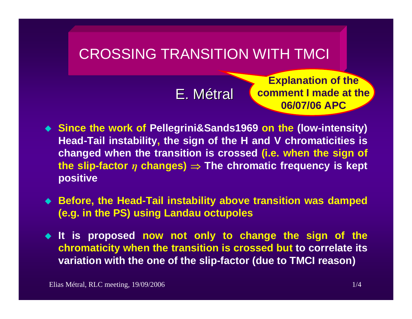## CROSSING TRANSITION WITH TMCI

E. Métral

**Explanation of the comment I made at the 06/07/06 APC** 

- **Since the work of Pellegrini&Sands1969 on the (low-intensity) Head-Tail instability, the sign of the H and V chromaticities is changed when the transition is crossed (i.e. when the sign of**  the slip-factor  $\eta$  changes)  $\Rightarrow$  The chromatic frequency is kept **positive**
- **Before, the Head-Tail instability above transition was damped (e.g. in the PS) using Landau octupoles**
- **It is proposed now not only to change the sign of the chromaticity when the transition is crossed but to correlate its variation with the one of the slip-factor (due to TMCI reason)**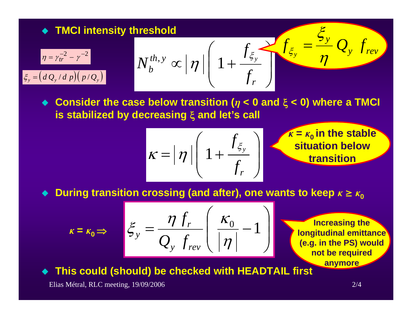★ TMCI intensity threshold

\n
$$
\frac{\eta = \gamma_{tr}^{-2} - \gamma^{-2}}{N_b^{th}, y} \propto |\eta| \left(1 + \frac{f_{\xi_y}}{f_r}\right) \left(1 + \frac{f_{\xi_y}}{f_r}\right) \left(1 + \frac{f_{\xi_y}}{f_r}\right)
$$
\n★ Consider the case below transition ( $\eta$  < 0 and  $\xi$  < 0) where a TMCI is stabilized by decreasing  $\xi$  and let's call

$$
\kappa = \left|\eta\right| \left(1 + \frac{f_{\xi_y}}{f_r}\right)
$$

 $k = k_0$  in the stable **situation below transition**

♦ **During transition crossing (and after), one wants to keep**  $k ≥ k<sub>0</sub>$ 

$$
\kappa = \kappa_0 \Rightarrow \quad \xi_y = \frac{\eta \, f_r}{Q_y \, f_{rev}} \left( \frac{\kappa_0}{|\eta|} - 1 \right)
$$

**Increasing the longitudinal emittance (e.g. in the PS) would not be required anymore**

 $\blacklozenge$ **This could (should) be checked with HEADTAIL first**

Elias Métral, RLC meeting, 19/09/2006 2/4

 $k = k_0$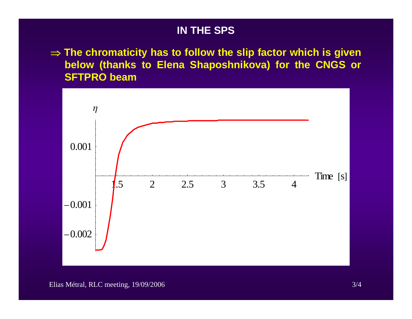## **IN THE SPS**

⇒ **The chromaticity has to follow the slip factor which is given below (thanks to Elena Shaposhnikova) for the CNGS or SFTPRO beam**